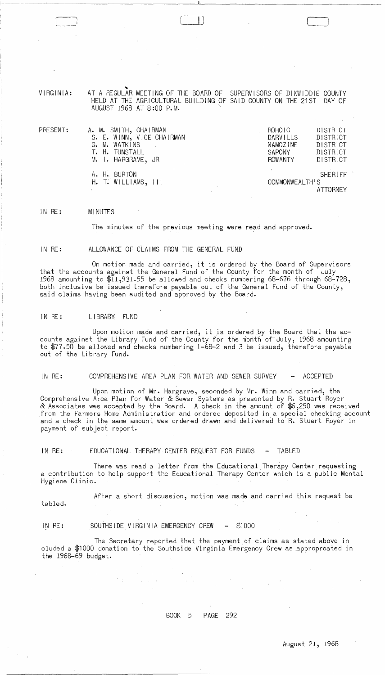VIRGINIA: AT A REGULAR MEETING OF THE BOARD OF SUPERVISORS OF DINWIDDIE COUNTY HELD AT THE AGRICULTURAL BUILDING OF SAID COUNTY ON THE 21ST DAY OF AUGUST 1968 AT 8:00 P.M.

 $\mathbb U$ 

| PRESENT: | A. M. SMITH, CHAIRMAN            | ROHOIC          | DISTRICT       |
|----------|----------------------------------|-----------------|----------------|
|          | S. E. WINN, VICE CHAIRMAN        | <b>DARVILLS</b> | DISTRICT       |
|          | G. M. WATKINS                    | <b>NAMOZINE</b> | DISTRICT       |
|          | T. H. TUNSTALL                   | <b>SAPONY</b>   | DISTRICT       |
|          | M. I. HARGRAVE, JR               | <b>ROWANTY</b>  | DISTRICT       |
|          | A. H. BURTON                     |                 | <b>SHERIFF</b> |
|          | $H_{\bullet}$ T. WILLIAMS, $111$ | COMMONWEALTH'S  |                |
|          |                                  |                 | ATTORNEY       |

### IN RE: MINUTES

The minutes of the previous meeting were read and approved.

#### IN RE: ALLOWANCE OF CLAIMS FROM THE GENERAL FUND

On motion made and carried, it is ordered by the Board of Supervisors that the accounts against the General Fund of the County for the month of July 1968 amounting to \$11,931.55 be allowed and checks numbering 68-676 through 68-728, both inclusive be issued therefore payable out of the General Fund of the County, said claims having been audited and approved by the Board.

### IN RE: LIBRARY FUND

Upon motion made and carried, it is ordered by the Board that the accounts against the Library Fund of the County for the month of July, 1968 amounting to \$77.50 be allowed and checks numbering L-68-2 and 3 be issued, therefore payable out of the Library Fund.

IN RE: COMPREHENSIVE AREA PLAN FOR WATER AND SEWER SURVEY - ACCEPTED

Upon motion of Mr. Hargrave, seconded by Mr. Winn and carried, the<br>Comprehensive Area Plan for Water & Sewer Systems as presented by R. Stuart Royer & Associates was accepted by the Board. A check in the amount of \$6,250 was received from the Farmers Home Administration and ordered deposited in a special checking account and a check in the same amount was ordered drawn and delivered to R. Stuart Royer in payment of subject report.

IN RE: EDUCATIONAL THERAPY CENTER REQUEST FOR FUNDS - TABLED

There was read a letter from the Educational Therapy Center requesting a contribution to help support the Educational Therapy Center which is a public Mental Hygiene Clinic.

After a short discussion, motion was made and carried this request be tabled.

IN RE: SOUTHSIDE VIRGINIA EMERGENCY CREW - \$1000

The Secretary reported that the payment of claims as stated above in eluded a \$1000 donation to the Southside Virginia Emergency Crew as approproated in the 1968-69 budget.

# BOOK 5 PAGE 292